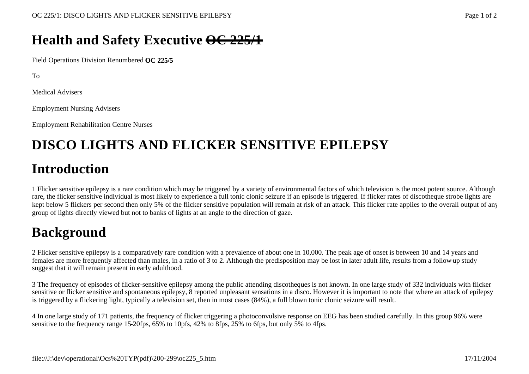#### **Health and Safety Executive OC 225/1**

Field Operations Division Renumbered **OC 225/5**

To

Medical Advisers

Employment Nursing Advisers

Employment Rehabilitation Centre Nurses

# **DISCO LIGHTS AND FLICKER SENSITIVE EPILEPSY**

### **Introduction**

1 Flicker sensitive epilepsy is a rare condition which may be triggered by a variety of environmental factors of which television is the most potent source. Although rare, the flicker sensitive individual is most likely to experience a full tonic clonic seizure if an episode is triggered. If flicker rates of discotheque strobe lights are kept below 5 flickers per second then only 5% of the flicker sensitive population will remain at risk of an attack. This flicker rate applies to the overall output of any group of lights directly viewed but not to banks of lights at an angle to the direction of gaze.

## **Background**

2 Flicker sensitive epilepsy is a comparatively rare condition with a prevalence of about one in 10,000. The peak age of onset is between 10 and 14 years and females are more frequently affected than males, in a ratio of 3 to 2. Although the predisposition may be lost in later adult life, results from a follow-up study suggest that it will remain present in early adulthood.

3 The frequency of episodes of flicker-sensitive epilepsy among the public attending discotheques is not known. In one large study of 332 individuals with flicker sensitive or flicker sensitive and spontaneous epilepsy, 8 reported unpleasant sensations in a disco. However it is important to note that where an attack of epilepsy is triggered by a flickering light, typically a television set, then in most cases (84%), a full blown tonic clonic seizure will result.

4 In one large study of 171 patients, the frequency of flicker triggering a photoconvulsive response on EEG has been studied carefully. In this group 96% were sensitive to the frequency range 15-20fps, 65% to 10pfs, 42% to 8fps, 25% to 6fps, but only 5% to 4fps.